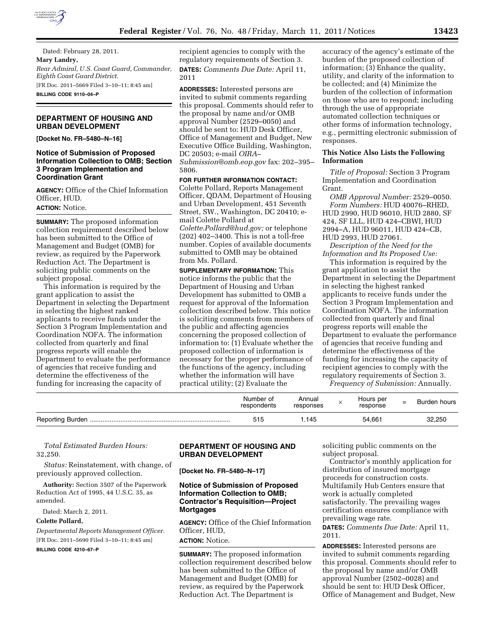

Dated: February 28, 2011. **Mary Landry,**  *Rear Admiral, U.S. Coast Guard, Commander, Eighth Coast Guard District.*  [FR Doc. 2011–5669 Filed 3–10–11; 8:45 am] **BILLING CODE 9110–04–P** 

### **DEPARTMENT OF HOUSING AND URBAN DEVELOPMENT**

**[Docket No. FR–5480–N–16]** 

### **Notice of Submission of Proposed Information Collection to OMB; Section 3 Program Implementation and Coordination Grant**

**AGENCY:** Office of the Chief Information Officer, HUD.

**ACTION:** Notice.

**SUMMARY:** The proposed information collection requirement described below has been submitted to the Office of Management and Budget (OMB) for review, as required by the Paperwork Reduction Act. The Department is soliciting public comments on the subject proposal.

This information is required by the grant application to assist the Department in selecting the Department in selecting the highest ranked applicants to receive funds under the Section 3 Program Implementation and Coordination NOFA. The information collected from quarterly and final progress reports will enable the Department to evaluate the performance of agencies that receive funding and determine the effectiveness of the funding for increasing the capacity of

recipient agencies to comply with the regulatory requirements of Section 3. **DATES:** *Comments Due Date:* April 11, 2011

**ADDRESSES:** Interested persons are invited to submit comments regarding this proposal. Comments should refer to the proposal by name and/or OMB approval Number (2529–0050) and should be sent to: HUD Desk Officer, Office of Management and Budget, New Executive Office Building, Washington, DC 20503; e-mail *[OIRA–](mailto:OIRA-Submission@omb.eop.gov)* 

*[Submission@omb.eop.gov](mailto:OIRA-Submission@omb.eop.gov)* fax: 202–395– 5806.

### **FOR FURTHER INFORMATION CONTACT:**

Colette Pollard, Reports Management Officer, QDAM, Department of Housing and Urban Development, 451 Seventh Street, SW., Washington, DC 20410; email Colette Pollard at *[Colette.Pollard@hud.gov;](mailto:Colette.Pollard@hud.gov)* or telephone (202) 402–3400. This is not a toll-free number. Copies of available documents submitted to OMB may be obtained from Ms. Pollard.

**SUPPLEMENTARY INFORMATION:** This notice informs the public that the Department of Housing and Urban Development has submitted to OMB a request for approval of the Information collection described below. This notice is soliciting comments from members of the public and affecting agencies concerning the proposed collection of information to: (1) Evaluate whether the proposed collection of information is necessary for the proper performance of the functions of the agency, including whether the information will have practical utility; (2) Evaluate the

accuracy of the agency's estimate of the burden of the proposed collection of information; (3) Enhance the quality, utility, and clarity of the information to be collected; and (4) Minimize the burden of the collection of information on those who are to respond; including through the use of appropriate automated collection techniques or other forms of information technology, e.g., permitting electronic submission of responses.

#### **This Notice Also Lists the Following Information**

*Title of Proposal:* Section 3 Program Implementation and Coordination Grant.

*OMB Approval Number:* 2529–0050. *Form Numbers:* HUD 40076–RHED, HUD 2990, HUD 96010, HUD 2880, SF 424, SF LLL, HUD 424–CBWI, HUD 2994–A, HUD 96011, HUD 424–CB, HUD 2993, HUD 27061.

*Description of the Need for the Information and Its Proposed Use:* 

This information is required by the grant application to assist the Department in selecting the Department in selecting the highest ranked applicants to receive funds under the Section 3 Program Implementation and Coordination NOFA. The information collected from quarterly and final progress reports will enable the Department to evaluate the performance of agencies that receive funding and determine the effectiveness of the funding for increasing the capacity of recipient agencies to comply with the regulatory requirements of Section 3.

*Frequency of Submission:* Annually.

| Number of<br>respondents | Annual<br>responses | Hours per<br>response | $=$ | Burden hours |
|--------------------------|---------------------|-----------------------|-----|--------------|
|                          | .145                | 54.661                |     | 32,250       |

*Total Estimated Burden Hours:*  32,250.

*Status:* Reinstatement, with change, of previously approved collection.

**Authority:** Section 3507 of the Paperwork Reduction Act of 1995, 44 U.S.C. 35, as amended.

Dated: March 2, 2011.

### **Colette Pollard,**

*Departmental Reports Management Officer.*  [FR Doc. 2011–5690 Filed 3–10–11; 8:45 am]

**BILLING CODE 4210–67–P** 

# **DEPARTMENT OF HOUSING AND URBAN DEVELOPMENT**

**[Docket No. FR–5480–N–17]** 

## **Notice of Submission of Proposed Information Collection to OMB; Contractor's Requisition—Project Mortgages**

**AGENCY:** Office of the Chief Information Officer, HUD,

### **ACTION:** Notice.

**SUMMARY:** The proposed information collection requirement described below has been submitted to the Office of Management and Budget (OMB) for review, as required by the Paperwork Reduction Act. The Department is

soliciting public comments on the subject proposal.

Contractor's monthly application for distribution of insured mortgage proceeds for construction costs. Multifamily Hub Centers ensure that work is actually completed satisfactorily. The prevailing wages certification ensures compliance with prevailing wage rate.

**DATES:** *Comments Due Date:* April 11, 2011.

**ADDRESSES:** Interested persons are invited to submit comments regarding this proposal. Comments should refer to the proposal by name and/or OMB approval Number (2502–0028) and should be sent to: HUD Desk Officer, Office of Management and Budget, New